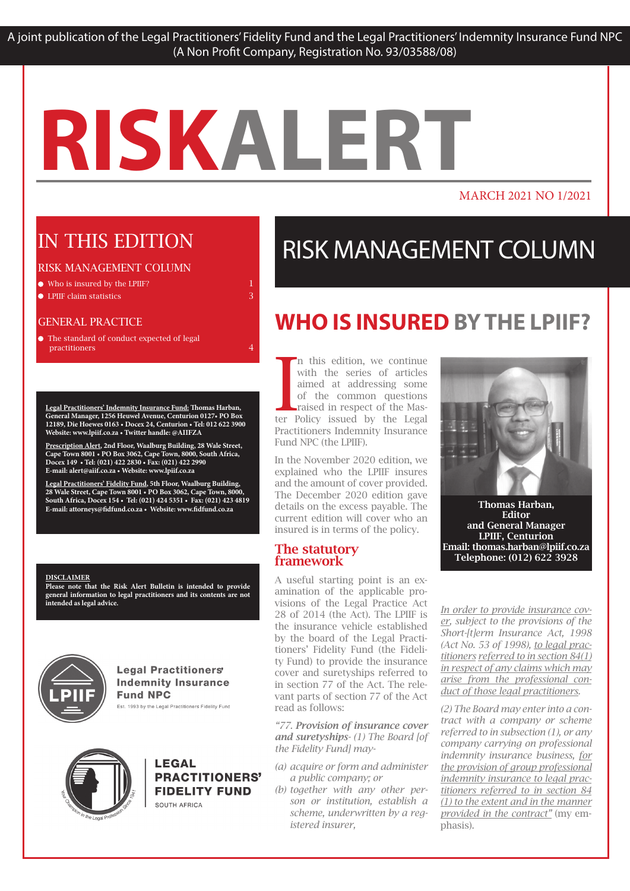#### MARCH 2021 NO 1/2021

### IN THIS EDITION

#### RISK MANAGEMENT COLUMN

- $\bullet$  Who is insured by the LPIIF?  $\qquad \qquad \qquad 1$
- **C** LPIIF claim statistics 3

#### GENERAL PRACTICE

 $\bullet$  The standard of conduct expected of legal practitioners and the contraction of the contraction of the contraction of the contraction of the contraction of the contraction of the contraction of the contraction of the contraction of the contraction of the contractio

**Legal Practitioners' Indemnity Insurance Fund: Thomas Harban, General Manager, 1256 Heuwel Avenue, Centurion 0127• PO Box 12189, Die Hoewes 0163 • Docex 24, Centurion • Tel: 012 622 3900 Website: www.lpiif.co.za • Twitter handle: @AIIFZA**

**Prescription Alert, 2nd Floor, Waalburg Building, 28 Wale Street, Cape Town 8001 • PO Box 3062, Cape Town, 8000, South Africa, Docex 149 • Tel: (021) 422 2830 • Fax: (021) 422 2990 E-mail: alert@aiif.co.za • Website: www.lpiif.co.za**

**Legal Practitioners' Fidelity Fund, 5th Floor, Waalburg Building, 28 Wale Street, Cape Town 8001 • PO Box 3062, Cape Town, 8000, South Africa, Docex 154 • Tel: (021) 424 5351 • Fax: (021) 423 4819 E-mail: attorneys@fidfund.co.za • Website: www.fidfund.co.za**

#### **DISCLAIMER**

**Please note that the Risk Alert Bulletin is intended to provide general information to legal practitioners and its contents are not intended as legal advice.** 



**Legal Practitioners' Indemnity Insurance Fund NPC** Est. 1993 by the Legal Practitioners Fidelity Fund



#### **LEGAL** PRACTITIONERS' **FIDELITY FUND** SOUTH AFRICA

### RISK MANAGEMENT COLUMN

### **WHO IS INSURED BY THE LPIIF?**

In this edition, we continue with the series of articles aimed at addressing some of the common questions raised in respect of the Master Policy issued by the Legal n this edition, we continue with the series of articles aimed at addressing some of the common questions raised in respect of the Mas-Practitioners Indemnity Insurance Fund NPC (the LPIIF).

In the November 2020 edition, we explained who the LPIIF insures and the amount of cover provided. The December 2020 edition gave details on the excess payable. The current edition will cover who an insured is in terms of the policy.

#### The statutory framework

A useful starting point is an examination of the applicable provisions of the Legal Practice Act 28 of 2014 (the Act). The LPIIF is the insurance vehicle established by the board of the Legal Practitioners' Fidelity Fund (the Fidelity Fund) to provide the insurance cover and suretyships referred to in section 77 of the Act. The relevant parts of section 77 of the Act read as follows:

*"77. Provision of insurance cover and suretyships- (1) The Board [of the Fidelity Fund] may-*

- *(a) acquire or form and administer a public company; or*
- *(b) together with any other person or institution, establish a scheme, underwritten by a registered insurer,*



Thomas Harban, Editor and General Manager LPIIF, Centurion Email: thomas.harban@lpiif.co.za Telephone: (012) 622 3928

*In order to provide insurance cover, subject to the provisions of the Short-[t]erm Insurance Act, 1998 (Act No. 53 of 1998), to legal practitioners referred to in section 84(1) in respect of any claims which may arise from the professional conduct of those legal practitioners.*

*(2) The Board may enter into a contract with a company or scheme referred to in subsection (1), or any company carrying on professional indemnity insurance business, for the provision of group professional indemnity insurance to legal practitioners referred to in section 84 (1) to the extent and in the manner provided in the contract"* (my emphasis).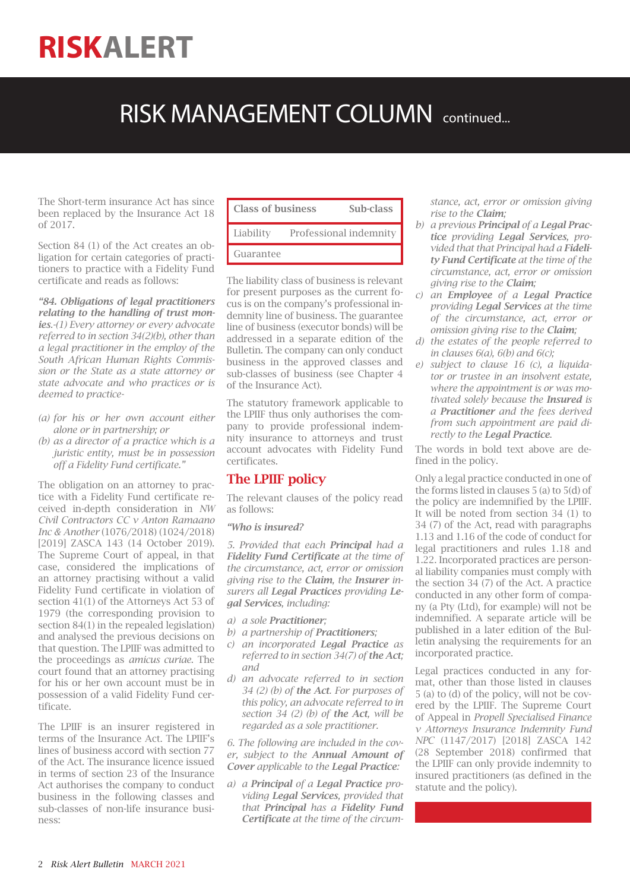### RISK MANAGEMENT COLUMN continued...

The Short-term insurance Act has since been replaced by the Insurance Act 18 of 2017.

Section 84 (1) of the Act creates an obligation for certain categories of practitioners to practice with a Fidelity Fund certificate and reads as follows:

*"84. Obligations of legal practitioners relating to the handling of trust monies.-(1) Every attorney or every advocate referred to in section 34(2)(b), other than a legal practitioner in the employ of the South African Human Rights Commission or the State as a state attorney or state advocate and who practices or is deemed to practice-*

- *(a) for his or her own account either alone or in partnership; or*
- *(b) as a director of a practice which is a juristic entity, must be in possession off a Fidelity Fund certificate."*

The obligation on an attorney to practice with a Fidelity Fund certificate received in-depth consideration in *NW Civil Contractors CC v Anton Ramaano Inc & Another* (1076/2018) (1024/2018) [2019] ZASCA 143 (14 October 2019). The Supreme Court of appeal, in that case, considered the implications of an attorney practising without a valid Fidelity Fund certificate in violation of section 41(1) of the Attorneys Act 53 of 1979 (the corresponding provision to section 84(1) in the repealed legislation) and analysed the previous decisions on that question. The LPIIF was admitted to the proceedings as *amicus curiae*. The court found that an attorney practising for his or her own account must be in possession of a valid Fidelity Fund certificate.

The LPIIF is an insurer registered in terms of the Insurance Act. The LPIIF's lines of business accord with section 77 of the Act. The insurance licence issued in terms of section 23 of the Insurance Act authorises the company to conduct business in the following classes and sub-classes of non-life insurance business:

| <b>Class of business</b> |                        | Sub-class |
|--------------------------|------------------------|-----------|
| Liability                | Professional indemnity |           |
| Guarantee                |                        |           |

The liability class of business is relevant for present purposes as the current focus is on the company's professional indemnity line of business. The guarantee line of business (executor bonds) will be addressed in a separate edition of the Bulletin. The company can only conduct business in the approved classes and sub-classes of business (see Chapter 4 of the Insurance Act).

The statutory framework applicable to the LPIIF thus only authorises the company to provide professional indemnity insurance to attorneys and trust account advocates with Fidelity Fund certificates.

### The LPIIF policy

The relevant clauses of the policy read as follows:

*"Who is insured?*

*5. Provided that each Principal had a Fidelity Fund Certificate at the time of the circumstance, act, error or omission giving rise to the Claim, the Insurer insurers all Legal Practices providing Legal Services, including:*

- *a) a sole Practitioner;*
- *b) a partnership of Practitioners;*
- *c) an incorporated Legal Practice as referred to in section 34(7) of the Act; and*
- *d) an advocate referred to in section 34 (2) (b) of the Act. For purposes of this policy, an advocate referred to in section 34 (2) (b) of the Act, will be regarded as a sole practitioner.*

*6. The following are included in the cover, subject to the Annual Amount of Cover applicable to the Legal Practice:*

*a) a Principal of a Legal Practice providing Legal Services, provided that that Principal has a Fidelity Fund Certificate at the time of the circum-* *stance, act, error or omission giving rise to the Claim;*

- *b) a previous Principal of a Legal Practice providing Legal Services, provided that that Principal had a Fidelity Fund Certificate at the time of the circumstance, act, error or omission giving rise to the Claim;*
- *c) an Employee of a Legal Practice providing Legal Services at the time of the circumstance, act, error or omission giving rise to the Claim;*
- *d) the estates of the people referred to in clauses 6(a), 6(b) and 6(c);*
- *e) subject to clause 16 (c), a liquidator or trustee in an insolvent estate, where the appointment is or was motivated solely because the Insured is a Practitioner and the fees derived from such appointment are paid directly to the Legal Practice*.

The words in bold text above are defined in the policy.

Only a legal practice conducted in one of the forms listed in clauses 5 (a) to 5(d) of the policy are indemnified by the LPIIF. It will be noted from section 34 (1) to 34 (7) of the Act, read with paragraphs 1.13 and 1.16 of the code of conduct for legal practitioners and rules 1.18 and 1.22. Incorporated practices are personal liability companies must comply with the section 34 (7) of the Act. A practice conducted in any other form of company (a Pty (Ltd), for example) will not be indemnified. A separate article will be published in a later edition of the Bulletin analysing the requirements for an incorporated practice.

Legal practices conducted in any format, other than those listed in clauses 5 (a) to (d) of the policy, will not be covered by the LPIIF. The Supreme Court of Appeal in *Propell Specialised Finance v Attorneys Insurance Indemnity Fund NPC* (1147/2017) [2018] ZASCA 142 (28 September 2018) confirmed that the LPIIF can only provide indemnity to insured practitioners (as defined in the statute and the policy).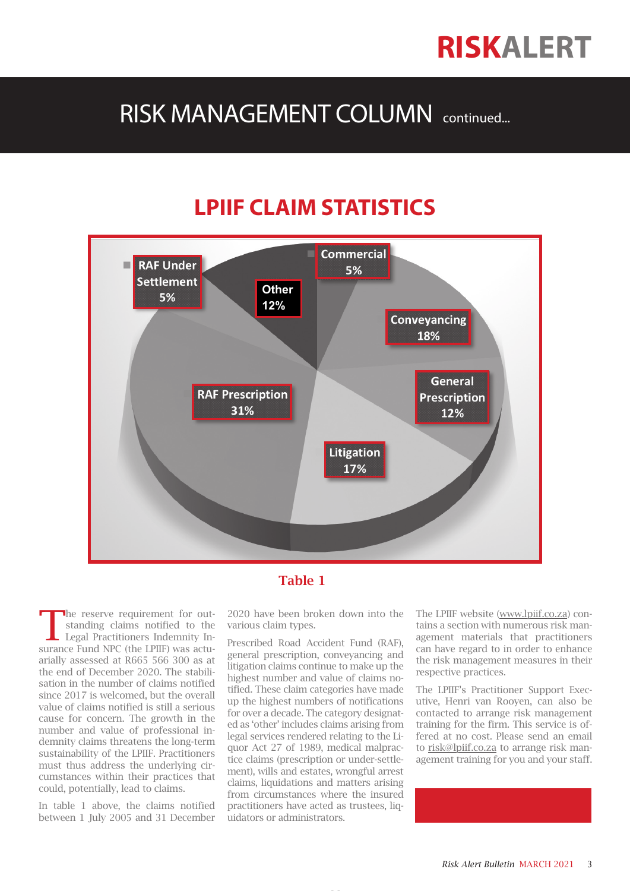### RISK MANAGEMENT COLUMN continued...

### **LPIIF CLAIM STATISTICS**



### Table 1

The reserve requirement for out-<br>
standing claims notified to the<br>
Legal Practitioners Indemnity In-<br>
surge Evel MPC (the LPIE) was cla standing claims notified to the surance Fund NPC (the LPIIF) was actuarially assessed at R665 566 300 as at the end of December 2020. The stabilisation in the number of claims notified since 2017 is welcomed, but the overall value of claims notified is still a serious cause for concern. The growth in the number and value of professional indemnity claims threatens the long-term sustainability of the LPIIF. Practitioners must thus address the underlying circumstances within their practices that could, potentially, lead to claims.

In table 1 above, the claims notified between 1 July 2005 and 31 December 2020 have been broken down into the various claim types.

Prescribed Road Accident Fund (RAF), general prescription, conveyancing and litigation claims continue to make up the highest number and value of claims notified. These claim categories have made up the highest numbers of notifications for over a decade. The category designated as 'other' includes claims arising from legal services rendered relating to the Liquor Act 27 of 1989, medical malpractice claims (prescription or under-settlement), wills and estates, wrongful arrest claims, liquidations and matters arising from circumstances where the insured practitioners have acted as trustees, liquidators or administrators.

The LPIIF website (www.lpiif.co.za) contains a section with numerous risk management materials that practitioners can have regard to in order to enhance the risk management measures in their respective practices.

The LPIIF's Practitioner Support Executive, Henri van Rooyen, can also be contacted to arrange risk management training for the firm. This service is offered at no cost. Please send an email to risk@lpiif.co.za to arrange risk management training for you and your staff.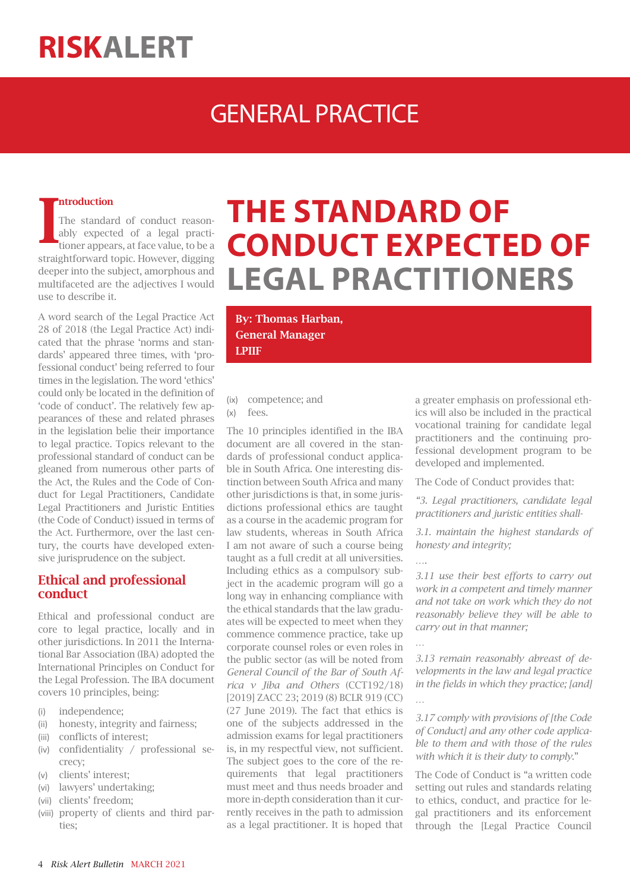### GENERAL PRACTICE

#### ntroduction

I The standard of conduct reasonably expected of a legal practitioner appears, at face value, to be a straightforward topic. However, digging deeper into the subject, amorphous and multifaceted are the adjectives I would use to describe it.

A word search of the Legal Practice Act 28 of 2018 (the Legal Practice Act) indicated that the phrase 'norms and standards' appeared three times, with 'professional conduct' being referred to four times in the legislation. The word 'ethics' could only be located in the definition of 'code of conduct'. The relatively few appearances of these and related phrases in the legislation belie their importance to legal practice. Topics relevant to the professional standard of conduct can be gleaned from numerous other parts of the Act, the Rules and the Code of Conduct for Legal Practitioners, Candidate Legal Practitioners and Juristic Entities (the Code of Conduct) issued in terms of the Act. Furthermore, over the last century, the courts have developed extensive jurisprudence on the subject.

#### Ethical and professional conduct

Ethical and professional conduct are core to legal practice, locally and in other jurisdictions. In 2011 the International Bar Association (IBA) adopted the International Principles on Conduct for the Legal Profession. The IBA document covers 10 principles, being:

- (i) independence;
- (ii) honesty, integrity and fairness;
- (iii) conflicts of interest;
- (iv) confidentiality / professional secrecy;
- (v) clients' interest;
- (vi) lawyers' undertaking;
- (vii) clients' freedom;
- (viii) property of clients and third parties;

## **THE STANDARD OF CONDUCT EXPECTED OF LEGAL PRACTITIONERS**

By: Thomas Harban, General Manager LPIIF

(ix) competence; and (x) fees.

The 10 principles identified in the IBA document are all covered in the standards of professional conduct applicable in South Africa. One interesting distinction between South Africa and many other jurisdictions is that, in some jurisdictions professional ethics are taught as a course in the academic program for law students, whereas in South Africa I am not aware of such a course being taught as a full credit at all universities. Including ethics as a compulsory subject in the academic program will go a long way in enhancing compliance with the ethical standards that the law graduates will be expected to meet when they commence commence practice, take up corporate counsel roles or even roles in the public sector (as will be noted from *General Council of the Bar of South Africa v Jiba and Others* (CCT192/18) [2019] ZACC 23; 2019 (8) BCLR 919 (CC) (27 June 2019). The fact that ethics is one of the subjects addressed in the admission exams for legal practitioners is, in my respectful view, not sufficient. The subject goes to the core of the requirements that legal practitioners must meet and thus needs broader and more in-depth consideration than it currently receives in the path to admission as a legal practitioner. It is hoped that a greater emphasis on professional ethics will also be included in the practical vocational training for candidate legal practitioners and the continuing professional development program to be developed and implemented.

The Code of Conduct provides that:

*"3. Legal practitioners, candidate legal practitioners and juristic entities shall-*

*3.1. maintain the highest standards of honesty and integrity;*

*….* 

*3.11 use their best efforts to carry out work in a competent and timely manner and not take on work which they do not reasonably believe they will be able to carry out in that manner;*

*…*

*…*

*3.13 remain reasonably abreast of developments in the law and legal practice in the fields in which they practice; [and]*

*3.17 comply with provisions of [the Code of Conduct] and any other code applicable to them and with those of the rules with which it is their duty to comply*."

The Code of Conduct is "a written code setting out rules and standards relating to ethics, conduct, and practice for legal practitioners and its enforcement through the [Legal Practice Council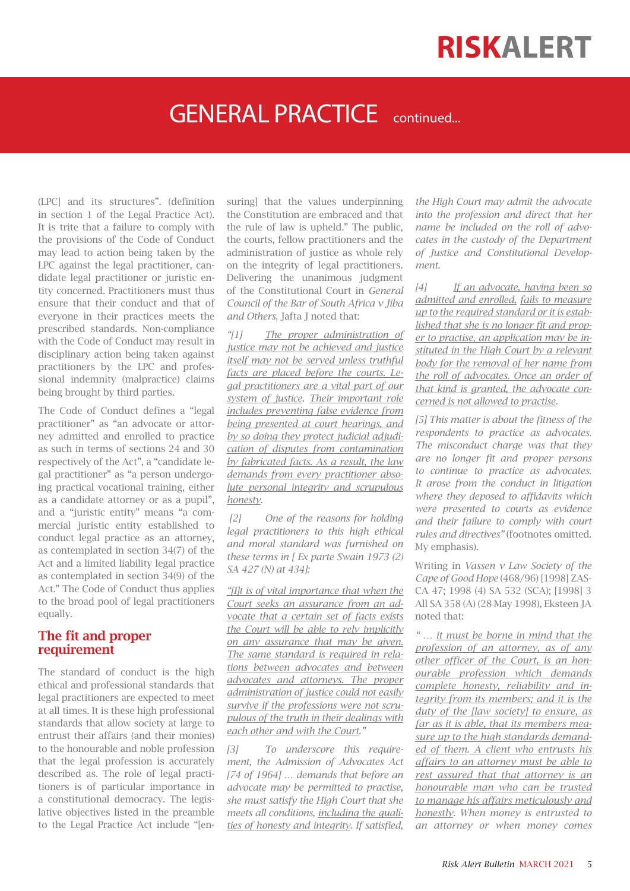### GENERAL PRACTICE continued...

(LPC] and its structures". (definition in section 1 of the Legal Practice Act). It is trite that a failure to comply with the provisions of the Code of Conduct may lead to action being taken by the LPC against the legal practitioner, candidate legal practitioner or juristic entity concerned. Practitioners must thus ensure that their conduct and that of everyone in their practices meets the prescribed standards. Non-compliance with the Code of Conduct may result in disciplinary action being taken against practitioners by the LPC and professional indemnity (malpractice) claims being brought by third parties.

The Code of Conduct defines a "legal practitioner" as "an advocate or attorney admitted and enrolled to practice as such in terms of sections 24 and 30 respectively of the Act", a "candidate legal practitioner" as "a person undergoing practical vocational training, either as a candidate attorney or as a pupil", and a "juristic entity" means "a commercial juristic entity established to conduct legal practice as an attorney, as contemplated in section 34(7) of the Act and a limited liability legal practice as contemplated in section 34(9) of the Act." The Code of Conduct thus applies to the broad pool of legal practitioners equally.

#### The fit and proper requirement

The standard of conduct is the high ethical and professional standards that legal practitioners are expected to meet at all times. It is these high professional standards that allow society at large to entrust their affairs (and their monies) to the honourable and noble profession that the legal profession is accurately described as. The role of legal practitioners is of particular importance in a constitutional democracy. The legislative objectives listed in the preamble to the Legal Practice Act include "[ensuring] that the values underpinning the Constitution are embraced and that the rule of law is upheld." The public, the courts, fellow practitioners and the administration of justice as whole rely on the integrity of legal practitioners. Delivering the unanimous judgment of the Constitutional Court in *General Council of the Bar of South Africa v Jiba and Others*, Jafta J noted that:

*"[1] The proper administration of justice may not be achieved and justice itself may not be served unless truthful facts are placed before the courts. Legal practitioners are a vital part of our system of justice. Their important role includes preventing false evidence from being presented at court hearings, and by so doing they protect judicial adjudication of disputes from contamination by fabricated facts. As a result, the law demands from every practitioner absolute personal integrity and scrupulous honesty.* 

 *[2] One of the reasons for holding legal practitioners to this high ethical and moral standard was furnished on these terms in [ Ex parte Swain 1973 (2) SA 427 (N) at 434]:*

*"[I]t is of vital importance that when the Court seeks an assurance from an advocate that a certain set of facts exists the Court will be able to rely implicitly on any assurance that may be given. The same standard is required in relations between advocates and between advocates and attorneys. The proper administration of justice could not easily survive if the professions were not scrupulous of the truth in their dealings with each other and with the Court."* 

*[3] To underscore this requirement, the Admission of Advocates Act [74 of 1964] … demands that before an advocate may be permitted to practise, she must satisfy the High Court that she meets all conditions, including the qualities of honesty and integrity. If satisfied,*  *the High Court may admit the advocate into the profession and direct that her name be included on the roll of advocates in the custody of the Department of Justice and Constitutional Development.* 

*[4] If an advocate, having been so admitted and enrolled, fails to measure up to the required standard or it is established that she is no longer fit and proper to practise, an application may be instituted in the High Court by a relevant body for the removal of her name from the roll of advocates. Once an order of that kind is granted, the advocate concerned is not allowed to practise.*

*[5] This matter is about the fitness of the respondents to practice as advocates. The misconduct charge was that they are no longer fit and proper persons to continue to practice as advocates. It arose from the conduct in litigation where they deposed to affidavits which were presented to courts as evidence and their failure to comply with court rules and directives"* (footnotes omitted. My emphasis).

Writing in *Vassen v Law Society of the Cape of Good Hope* (468/96) [1998] ZAS-CA 47; 1998 (4) SA 532 (SCA); [1998] 3 All SA 358 (A) (28 May 1998), Eksteen JA noted that:

*" … it must be borne in mind that the profession of an attorney, as of any other officer of the Court, is an honourable profession which demands complete honesty, reliability and integrity from its members; and it is the duty of the [law society] to ensure, as far as it is able, that its members measure up to the high standards demanded of them. A client who entrusts his affairs to an attorney must be able to rest assured that that attorney is an honourable man who can be trusted to manage his affairs meticulously and honestly. When money is entrusted to an attorney or when money comes*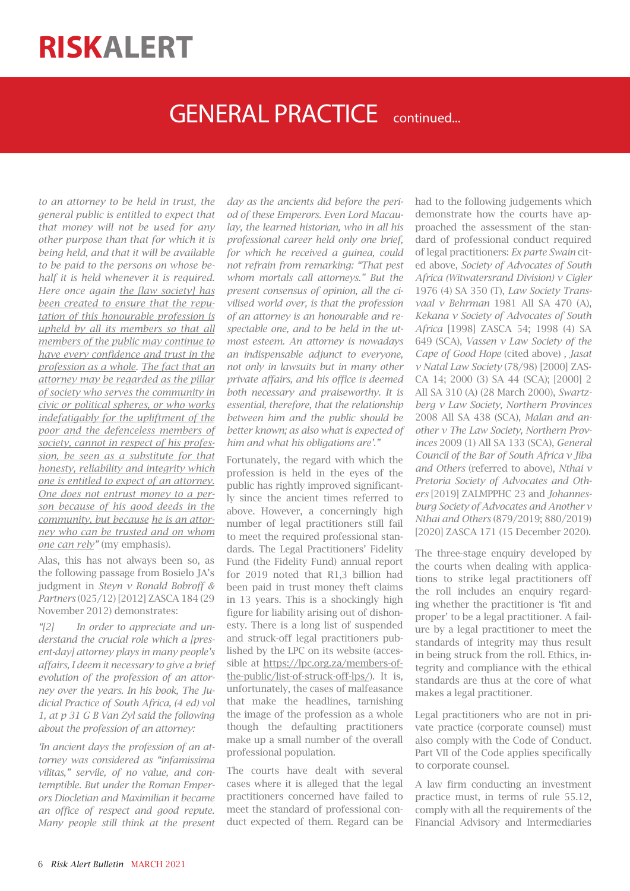### GENERAL PRACTICE continued...

*to an attorney to be held in trust, the general public is entitled to expect that that money will not be used for any other purpose than that for which it is being held, and that it will be available to be paid to the persons on whose behalf it is held whenever it is required. Here once again the [law society] has been created to ensure that the reputation of this honourable profession is upheld by all its members so that all members of the public may continue to have every confidence and trust in the profession as a whole. The fact that an attorney may be regarded as the pillar of society who serves the community in civic or political spheres, or who works indefatigably for the upliftment of the poor and the defenceless members of society, cannot in respect of his profession, be seen as a substitute for that honesty, reliability and integrity which one is entitled to expect of an attorney. One does not entrust money to a person because of his good deeds in the community, but because he is an attorney who can be trusted and on whom one can rely"* (my emphasis).

Alas, this has not always been so, as the following passage from Bosielo JA's judgment in *Steyn v Ronald Bobroff & Partners* (025/12) [2012] ZASCA 184 (29 November 2012) demonstrates:

*"[2] In order to appreciate and understand the crucial role which a [present-day] attorney plays in many people's affairs, I deem it necessary to give a brief evolution of the profession of an attorney over the years. In his book, The Judicial Practice of South Africa, (4 ed) vol 1, at p 31 G B Van Zyl said the following about the profession of an attorney:*

*'In ancient days the profession of an attorney was considered as "infamissima vilitas," servile, of no value, and contemptible. But under the Roman Emperors Diocletian and Maximilian it became an office of respect and good repute. Many people still think at the present*  *day as the ancients did before the period of these Emperors. Even Lord Macaulay, the learned historian, who in all his professional career held only one brief, for which he received a guinea, could not refrain from remarking: "That pest whom mortals call attorneys." But the present consensus of opinion, all the civilised world over, is that the profession of an attorney is an honourable and respectable one, and to be held in the utmost esteem. An attorney is nowadays an indispensable adjunct to everyone, not only in lawsuits but in many other private affairs, and his office is deemed both necessary and praiseworthy. It is essential, therefore, that the relationship between him and the public should be better known; as also what is expected of him and what his obligations are'."*

Fortunately, the regard with which the profession is held in the eyes of the public has rightly improved significantly since the ancient times referred to above. However, a concerningly high number of legal practitioners still fail to meet the required professional standards. The Legal Practitioners' Fidelity Fund (the Fidelity Fund) annual report for 2019 noted that R1,3 billion had been paid in trust money theft claims in 13 years. This is a shockingly high figure for liability arising out of dishonesty. There is a long list of suspended and struck-off legal practitioners published by the LPC on its website (accessible at https://lpc.org.za/members-ofthe-public/list-of-struck-off-lps/). It is, unfortunately, the cases of malfeasance that make the headlines, tarnishing the image of the profession as a whole though the defaulting practitioners make up a small number of the overall professional population.

The courts have dealt with several cases where it is alleged that the legal practitioners concerned have failed to meet the standard of professional conduct expected of them. Regard can be

had to the following judgements which demonstrate how the courts have approached the assessment of the standard of professional conduct required of legal practitioners: *Ex parte Swain* cited above, *Society of Advocates of South Africa (Witwatersrand Division) v Cigler* 1976 (4) SA 350 (T), *Law Society Transvaal v Behrman* 1981 All SA 470 (A), *Kekana v Society of Advocates of South Africa* [1998] ZASCA 54; 1998 (4) SA 649 (SCA), *Vassen v Law Society of the Cape of Good Hope* (cited above) *, Jasat v Natal Law Society* (78/98) [2000] ZAS-CA 14; 2000 (3) SA 44 (SCA); [2000] 2 All SA 310 (A) (28 March 2000), *Swartzberg v Law Society, Northern Provinces* 2008 All SA 438 (SCA), *Malan and another v The Law Society, Northern Provinces* 2009 (1) All SA 133 (SCA), *General Council of the Bar of South Africa v Jiba and Others* (referred to above), *Nthai v Pretoria Society of Advocates and Others* [2019] ZALMPPHC 23 and *Johannesburg Society of Advocates and Another v Nthai and Others* (879/2019; 880/2019) [2020] ZASCA 171 (15 December 2020).

The three-stage enquiry developed by the courts when dealing with applications to strike legal practitioners off the roll includes an enquiry regarding whether the practitioner is 'fit and proper' to be a legal practitioner. A failure by a legal practitioner to meet the standards of integrity may thus result in being struck from the roll. Ethics, integrity and compliance with the ethical standards are thus at the core of what makes a legal practitioner.

Legal practitioners who are not in private practice (corporate counsel) must also comply with the Code of Conduct. Part VII of the Code applies specifically to corporate counsel.

A law firm conducting an investment practice must, in terms of rule 55.12, comply with all the requirements of the Financial Advisory and Intermediaries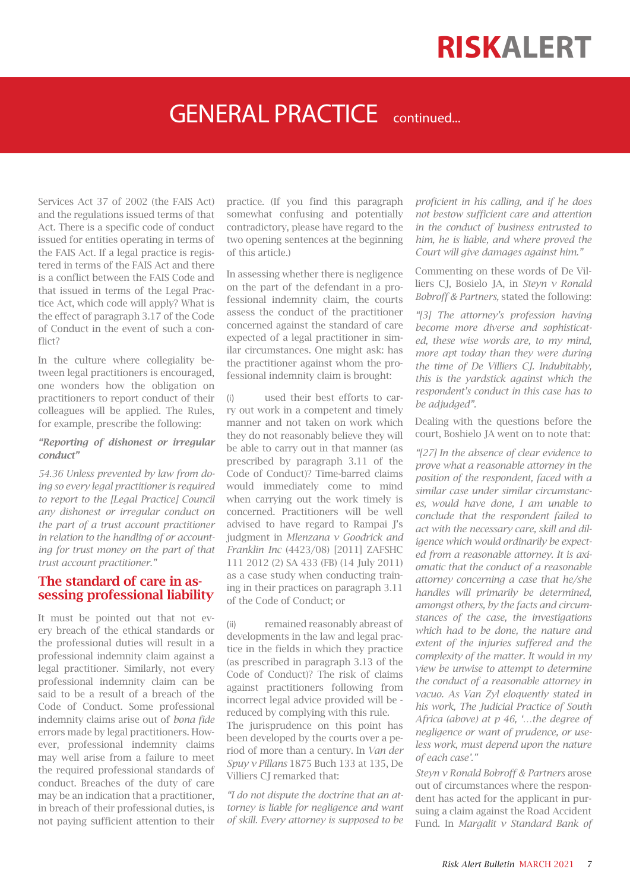### GENERAL PRACTICE continued...

Services Act 37 of 2002 (the FAIS Act) and the regulations issued terms of that Act. There is a specific code of conduct issued for entities operating in terms of the FAIS Act. If a legal practice is registered in terms of the FAIS Act and there is a conflict between the FAIS Code and that issued in terms of the Legal Practice Act, which code will apply? What is the effect of paragraph 3.17 of the Code of Conduct in the event of such a conflict?

In the culture where collegiality between legal practitioners is encouraged, one wonders how the obligation on practitioners to report conduct of their colleagues will be applied. The Rules, for example, prescribe the following:

#### *"Reporting of dishonest or irregular conduct"*

*54.36 Unless prevented by law from doing so every legal practitioner is required to report to the [Legal Practice] Council any dishonest or irregular conduct on the part of a trust account practitioner in relation to the handling of or accounting for trust money on the part of that trust account practitioner."*

### The standard of care in assessing professional liability

It must be pointed out that not every breach of the ethical standards or the professional duties will result in a professional indemnity claim against a legal practitioner. Similarly, not every professional indemnity claim can be said to be a result of a breach of the Code of Conduct. Some professional indemnity claims arise out of *bona fide* errors made by legal practitioners. However, professional indemnity claims may well arise from a failure to meet the required professional standards of conduct. Breaches of the duty of care may be an indication that a practitioner, in breach of their professional duties, is not paying sufficient attention to their

practice. (If you find this paragraph somewhat confusing and potentially contradictory, please have regard to the two opening sentences at the beginning of this article.)

In assessing whether there is negligence on the part of the defendant in a professional indemnity claim, the courts assess the conduct of the practitioner concerned against the standard of care expected of a legal practitioner in similar circumstances. One might ask: has the practitioner against whom the professional indemnity claim is brought:

(i) used their best efforts to carry out work in a competent and timely manner and not taken on work which they do not reasonably believe they will be able to carry out in that manner (as prescribed by paragraph 3.11 of the Code of Conduct)? Time-barred claims would immediately come to mind when carrying out the work timely is concerned. Practitioners will be well advised to have regard to Rampai J's judgment in *Mlenzana v Goodrick and Franklin Inc* (4423/08) [2011] ZAFSHC 111 2012 (2) SA 433 (FB) (14 July 2011) as a case study when conducting training in their practices on paragraph 3.11 of the Code of Conduct; or

(ii) remained reasonably abreast of developments in the law and legal practice in the fields in which they practice (as prescribed in paragraph 3.13 of the Code of Conduct)? The risk of claims against practitioners following from incorrect legal advice provided will be reduced by complying with this rule. The jurisprudence on this point has been developed by the courts over a period of more than a century. In *Van der Spuy v Pillans* 1875 Buch 133 at 135, De Villiers CJ remarked that:

*"I do not dispute the doctrine that an attorney is liable for negligence and want of skill. Every attorney is supposed to be*  *proficient in his calling, and if he does not bestow sufficient care and attention in the conduct of business entrusted to him, he is liable, and where proved the Court will give damages against him."*

Commenting on these words of De Villiers CJ, Bosielo JA, in *Steyn v Ronald Bobroff & Partners,* stated the following:

*"[3] The attorney's profession having become more diverse and sophisticated, these wise words are, to my mind, more apt today than they were during the time of De Villiers CJ. Indubitably, this is the yardstick against which the respondent's conduct in this case has to be adjudged".*

Dealing with the questions before the court, Boshielo JA went on to note that:

*"[27] In the absence of clear evidence to prove what a reasonable attorney in the position of the respondent, faced with a similar case under similar circumstances, would have done, I am unable to conclude that the respondent failed to act with the necessary care, skill and diligence which would ordinarily be expected from a reasonable attorney. It is axiomatic that the conduct of a reasonable attorney concerning a case that he/she handles will primarily be determined, amongst others, by the facts and circumstances of the case, the investigations which had to be done, the nature and extent of the injuries suffered and the complexity of the matter. It would in my view be unwise to attempt to determine the conduct of a reasonable attorney in vacuo. As Van Zyl eloquently stated in his work, The Judicial Practice of South Africa (above) at p 46, '…the degree of negligence or want of prudence, or useless work, must depend upon the nature of each case'."*

*Steyn v Ronald Bobroff & Partners* arose out of circumstances where the respondent has acted for the applicant in pursuing a claim against the Road Accident Fund. In *Margalit v Standard Bank of*